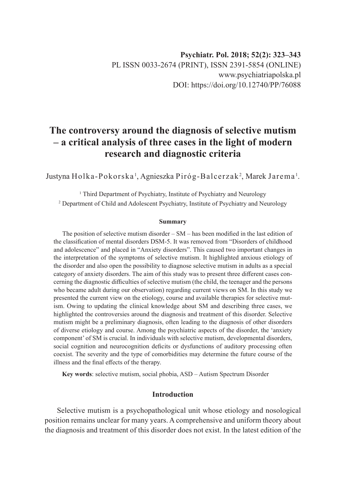# **The controversy around the diagnosis of selective mutism – a critical analysis of three cases in the light of modern research and diagnostic criteria**

Justyna Holka-Pokorska', Agnieszka Piróg-Balcerzak<sup>2</sup>, Marek Jarema'.

<sup>1</sup> Third Department of Psychiatry, Institute of Psychiatry and Neurology <sup>2</sup> Department of Child and Adolescent Psychiatry, Institute of Psychiatry and Neurology

#### **Summary**

The position of selective mutism disorder – SM – has been modified in the last edition of the classification of mental disorders DSM-5. It was removed from "Disorders of childhood and adolescence" and placed in "Anxiety disorders". This caused two important changes in the interpretation of the symptoms of selective mutism. It highlighted anxious etiology of the disorder and also open the possibility to diagnose selective mutism in adults as a special category of anxiety disorders. The aim of this study was to present three different cases concerning the diagnostic difficulties of selective mutism (the child, the teenager and the persons who became adult during our observation) regarding current views on SM. In this study we presented the current view on the etiology, course and available therapies for selective mutism. Owing to updating the clinical knowledge about SM and describing three cases, we highlighted the controversies around the diagnosis and treatment of this disorder. Selective mutism might be a preliminary diagnosis, often leading to the diagnosis of other disorders of diverse etiology and course. Among the psychiatric aspects of the disorder, the 'anxiety component' of SM is crucial. In individuals with selective mutism, developmental disorders, social cognition and neurocognition deficits or dysfunctions of auditory processing often coexist. The severity and the type of comorbidities may determine the future course of the illness and the final effects of the therapy.

**Key words**: selective mutism, social phobia, ASD – Autism Spectrum Disorder

# **Introduction**

Selective mutism is a psychopathological unit whose etiology and nosological position remains unclear for many years. A comprehensive and uniform theory about the diagnosis and treatment of this disorder does not exist. In the latest edition of the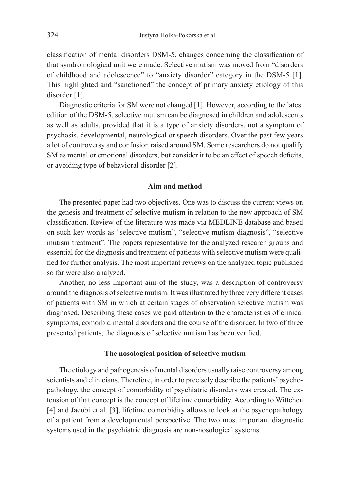classification of mental disorders DSM-5, changes concerning the classification of that syndromological unit were made. Selective mutism was moved from "disorders of childhood and adolescence" to "anxiety disorder" category in the DSM-5 [1]. This highlighted and "sanctioned" the concept of primary anxiety etiology of this disorder [1].

Diagnostic criteria for SM were not changed [1]. However, according to the latest edition of the DSM-5, selective mutism can be diagnosed in children and adolescents as well as adults, provided that it is a type of anxiety disorders, not a symptom of psychosis, developmental, neurological or speech disorders. Over the past few years a lot of controversy and confusion raised around SM. Some researchers do not qualify SM as mental or emotional disorders, but consider it to be an effect of speech deficits, or avoiding type of behavioral disorder [2].

## **Aim and method**

The presented paper had two objectives. One was to discuss the current views on the genesis and treatment of selective mutism in relation to the new approach of SM classification. Review of the literature was made via MEDLINE database and based on such key words as "selective mutism", "selective mutism diagnosis", "selective mutism treatment". The papers representative for the analyzed research groups and essential for the diagnosis and treatment of patients with selective mutism were qualified for further analysis. The most important reviews on the analyzed topic published so far were also analyzed.

Another, no less important aim of the study, was a description of controversy around the diagnosis of selective mutism. It was illustrated by three very different cases of patients with SM in which at certain stages of observation selective mutism was diagnosed. Describing these cases we paid attention to the characteristics of clinical symptoms, comorbid mental disorders and the course of the disorder. In two of three presented patients, the diagnosis of selective mutism has been verified.

#### **The nosological position of selective mutism**

The etiology and pathogenesis of mental disorders usually raise controversy among scientists and clinicians. Therefore, in order to precisely describe the patients' psychopathology, the concept of comorbidity of psychiatric disorders was created. The extension of that concept is the concept of lifetime comorbidity. According to Wittchen [4] and Jacobi et al. [3], lifetime comorbidity allows to look at the psychopathology of a patient from a developmental perspective. The two most important diagnostic systems used in the psychiatric diagnosis are non-nosological systems.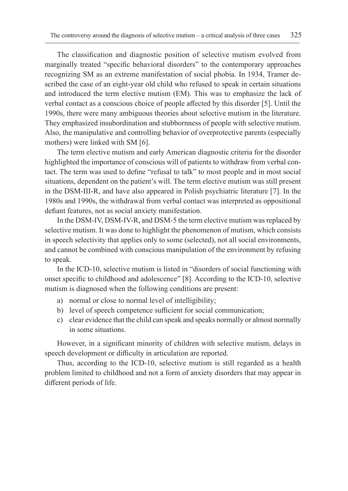The classification and diagnostic position of selective mutism evolved from marginally treated "specific behavioral disorders" to the contemporary approaches recognizing SM as an extreme manifestation of social phobia. In 1934, Tramer described the case of an eight-year old child who refused to speak in certain situations and introduced the term elective mutism (EM). This was to emphasize the lack of verbal contact as a conscious choice of people affected by this disorder [5]. Until the 1990s, there were many ambiguous theories about selective mutism in the literature. They emphasized insubordination and stubbornness of people with selective mutism. Also, the manipulative and controlling behavior of overprotective parents (especially mothers) were linked with SM [6].

The term elective mutism and early American diagnostic criteria for the disorder highlighted the importance of conscious will of patients to withdraw from verbal contact. The term was used to define "refusal to talk" to most people and in most social situations, dependent on the patient's will. The term elective mutism was still present in the DSM-III-R, and have also appeared in Polish psychiatric literature [7]. In the 1980s and 1990s, the withdrawal from verbal contact was interpreted as oppositional defiant features, not as social anxiety manifestation.

In the DSM-IV, DSM-IV-R, and DSM-5 the term elective mutism was replaced by selective mutism. It was done to highlight the phenomenon of mutism, which consists in speech selectivity that applies only to some (selected), not all social environments, and cannot be combined with conscious manipulation of the environment by refusing to speak.

In the ICD-10, selective mutism is listed in "disorders of social functioning with onset specific to childhood and adolescence" [8]. According to the ICD-10, selective mutism is diagnosed when the following conditions are present:

- a) normal or close to normal level of intelligibility;
- b) level of speech competence sufficient for social communication;
- c) clear evidence that the child can speak and speaks normally or almost normally in some situations.

However, in a significant minority of children with selective mutism, delays in speech development or difficulty in articulation are reported.

Thus, according to the ICD-10, selective mutism is still regarded as a health problem limited to childhood and not a form of anxiety disorders that may appear in different periods of life.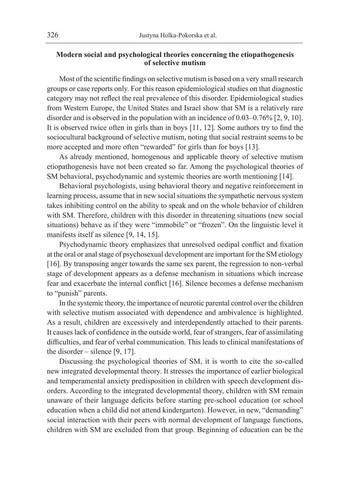# **Modern social and psychological theories concerning the etiopathogenesis of selective mutism**

Most of the scientific findings on selective mutism is based on a very small research groups or case reports only. For this reason epidemiological studies on that diagnostic category may not reflect the real prevalence of this disorder. Epidemiological studies from Western Europe, the United States and Israel show that SM is a relatively rare disorder and is observed in the population with an incidence of 0.03–0.76% [2, 9, 10]. It is observed twice often in girls than in boys [11, 12]. Some authors try to find the sociocultural background of selective mutism, noting that social restraint seems to be more accepted and more often "rewarded" for girls than for boys [13].

As already mentioned, homogenous and applicable theory of selective mutism etiopathogenesis have not been created so far. Among the psychological theories of SM behavioral, psychodynamic and systemic theories are worth mentioning [14].

Behavioral psychologists, using behavioral theory and negative reinforcement in learning process, assume that in new social situations the sympathetic nervous system takes inhibiting control on the ability to speak and on the whole behavior of children with SM. Therefore, children with this disorder in threatening situations (new social situations) behave as if they were "immobile" or "frozen". On the linguistic level it manifests itself as silence [9, 14, 15].

Psychodynamic theory emphasizes that unresolved oedipal conflict and fixation at the oral or anal stage of psychosexual development are important for the SM etiology [16]. By transposing anger towards the same sex parent, the regression to non-verbal stage of development appears as a defense mechanism in situations which increase fear and exacerbate the internal conflict [16]. Silence becomes a defense mechanism to "punish" parents.

In the systemic theory, the importance of neurotic parental control over the children with selective mutism associated with dependence and ambivalence is highlighted. As a result, children are excessively and interdependently attached to their parents. It causes lack of confidence in the outside world, fear of strangers, fear of assimilating difficulties, and fear of verbal communication. This leads to clinical manifestations of the disorder – silence  $[9, 17]$ .

Discussing the psychological theories of SM, it is worth to cite the so-called new integrated developmental theory. It stresses the importance of earlier biological and temperamental anxiety predisposition in children with speech development disorders. According to the integrated developmental theory, children with SM remain unaware of their language deficits before starting pre-school education (or school education when a child did not attend kindergarten). However, in new, "demanding" social interaction with their peers with normal development of language functions, children with SM are excluded from that group. Beginning of education can be the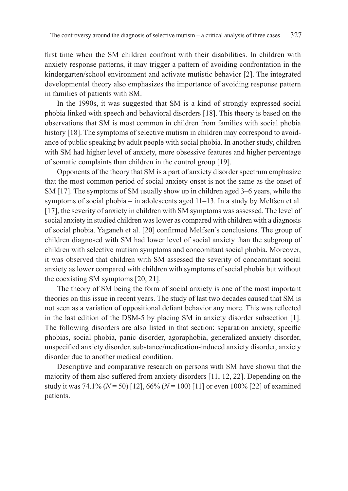first time when the SM children confront with their disabilities. In children with anxiety response patterns, it may trigger a pattern of avoiding confrontation in the kindergarten/school environment and activate mutistic behavior [2]. The integrated developmental theory also emphasizes the importance of avoiding response pattern in families of patients with SM.

In the 1990s, it was suggested that SM is a kind of strongly expressed social phobia linked with speech and behavioral disorders [18]. This theory is based on the observations that SM is most common in children from families with social phobia history [18]. The symptoms of selective mutism in children may correspond to avoidance of public speaking by adult people with social phobia. In another study, children with SM had higher level of anxiety, more obsessive features and higher percentage of somatic complaints than children in the control group [19].

Opponents of the theory that SM is a part of anxiety disorder spectrum emphasize that the most common period of social anxiety onset is not the same as the onset of SM [17]. The symptoms of SM usually show up in children aged 3–6 years, while the symptoms of social phobia – in adolescents aged 11–13. In a study by Melfsen et al. [17], the severity of anxiety in children with SM symptoms was assessed. The level of social anxiety in studied children was lower as compared with children with a diagnosis of social phobia. Yaganeh et al. [20] confirmed Melfsen's conclusions. The group of children diagnosed with SM had lower level of social anxiety than the subgroup of children with selective mutism symptoms and concomitant social phobia. Moreover, it was observed that children with SM assessed the severity of concomitant social anxiety as lower compared with children with symptoms of social phobia but without the coexisting SM symptoms [20, 21].

The theory of SM being the form of social anxiety is one of the most important theories on this issue in recent years. The study of last two decades caused that SM is not seen as a variation of oppositional defiant behavior any more. This was reflected in the last edition of the DSM-5 by placing SM in anxiety disorder subsection [1]. The following disorders are also listed in that section: separation anxiety, specific phobias, social phobia, panic disorder, agoraphobia, generalized anxiety disorder, unspecified anxiety disorder, substance/medication-induced anxiety disorder, anxiety disorder due to another medical condition.

Descriptive and comparative research on persons with SM have shown that the majority of them also suffered from anxiety disorders [11, 12, 22]. Depending on the study it was 74.1% (*N* = 50) [12], 66% (*N* = 100) [11] or even 100% [22] of examined patients.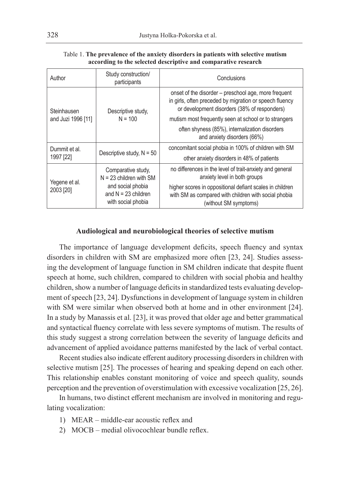| Author                            | Study construction/<br>participants                                                                                 | Conclusions                                                                                                                                                     |  |
|-----------------------------------|---------------------------------------------------------------------------------------------------------------------|-----------------------------------------------------------------------------------------------------------------------------------------------------------------|--|
| Steinhausen<br>and Juzi 1996 [11] | Descriptive study,<br>$N = 100$                                                                                     | onset of the disorder – preschool age, more frequent<br>in girls, often preceded by migration or speech fluency<br>or development disorders (38% of responders) |  |
|                                   |                                                                                                                     | mutism most frequently seen at school or to strangers                                                                                                           |  |
|                                   |                                                                                                                     | often shyness (85%), internalization disorders<br>and anxiety disorders (66%)                                                                                   |  |
| Dummit et al.                     |                                                                                                                     | concomitant social phobia in 100% of children with SM                                                                                                           |  |
| 1997 [22]                         | Descriptive study, $N = 50$                                                                                         | other anxiety disorders in 48% of patients                                                                                                                      |  |
| Yegene et al.<br>2003 [20]        | Comparative study.<br>$N = 23$ children with SM<br>and social phobia<br>and $N = 23$ children<br>with social phobia | no differences in the level of trait-anxiety and general<br>anxiety level in both groups                                                                        |  |
|                                   |                                                                                                                     | higher scores in oppositional defiant scales in children<br>with SM as compared with children with social phobia<br>(without SM symptoms)                       |  |

Table 1. **The prevalence of the anxiety disorders in patients with selective mutism according to the selected descriptive and comparative research**

#### **Audiological and neurobiological theories of selective mutism**

The importance of language development deficits, speech fluency and syntax disorders in children with SM are emphasized more often [23, 24]. Studies assessing the development of language function in SM children indicate that despite fluent speech at home, such children, compared to children with social phobia and healthy children, show a number of language deficits in standardized tests evaluating development of speech [23, 24]. Dysfunctions in development of language system in children with SM were similar when observed both at home and in other environment [24]. In a study by Manassis et al. [23], it was proved that older age and better grammatical and syntactical fluency correlate with less severe symptoms of mutism. The results of this study suggest a strong correlation between the severity of language deficits and advancement of applied avoidance patterns manifested by the lack of verbal contact.

Recent studies also indicate efferent auditory processing disorders in children with selective mutism [25]. The processes of hearing and speaking depend on each other. This relationship enables constant monitoring of voice and speech quality, sounds perception and the prevention of overstimulation with excessive vocalization [25, 26].

In humans, two distinct efferent mechanism are involved in monitoring and regulating vocalization:

- 1) MEAR middle-ear acoustic reflex and
- 2) MOCB medial olivocochlear bundle reflex.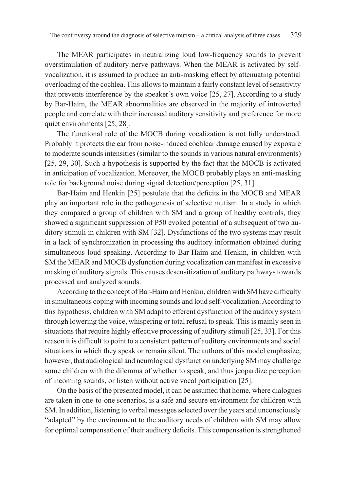The MEAR participates in neutralizing loud low-frequency sounds to prevent overstimulation of auditory nerve pathways. When the MEAR is activated by selfvocalization, it is assumed to produce an anti-masking effect by attenuating potential overloading of the cochlea. This allows to maintain a fairly constant level of sensitivity that prevents interference by the speaker's own voice [25, 27]. According to a study by Bar-Haim, the MEAR abnormalities are observed in the majority of introverted people and correlate with their increased auditory sensitivity and preference for more quiet environments [25, 28].

The functional role of the MOCB during vocalization is not fully understood. Probably it protects the ear from noise-induced cochlear damage caused by exposure to moderate sounds intensities (similar to the sounds in various natural environments) [25, 29, 30]. Such a hypothesis is supported by the fact that the MOCB is activated in anticipation of vocalization. Moreover, the MOCB probably plays an anti-masking role for background noise during signal detection/perception [25, 31].

Bar-Haim and Henkin [25] postulate that the deficits in the MOCB and MEAR play an important role in the pathogenesis of selective mutism. In a study in which they compared a group of children with SM and a group of healthy controls, they showed a significant suppression of P50 evoked potential of a subsequent of two auditory stimuli in children with SM [32]. Dysfunctions of the two systems may result in a lack of synchronization in processing the auditory information obtained during simultaneous loud speaking. According to Bar-Haim and Henkin, in children with SM the MEAR and MOCB dysfunction during vocalization can manifest in excessive masking of auditory signals. This causes desensitization of auditory pathways towards processed and analyzed sounds.

According to the concept of Bar-Haim and Henkin, children with SM have difficulty in simultaneous coping with incoming sounds and loud self-vocalization. According to this hypothesis, children with SM adapt to efferent dysfunction of the auditory system through lowering the voice, whispering or total refusal to speak. This is mainly seen in situations that require highly effective processing of auditory stimuli [25, 33]. For this reason it is difficult to point to a consistent pattern of auditory environments and social situations in which they speak or remain silent. The authors of this model emphasize, however, that audiological and neurological dysfunction underlying SM may challenge some children with the dilemma of whether to speak, and thus jeopardize perception of incoming sounds, or listen without active vocal participation [25].

On the basis of the presented model, it can be assumed that home, where dialogues are taken in one-to-one scenarios, is a safe and secure environment for children with SM. In addition, listening to verbal messages selected over the years and unconsciously "adapted" by the environment to the auditory needs of children with SM may allow for optimal compensation of their auditory deficits. This compensation is strengthened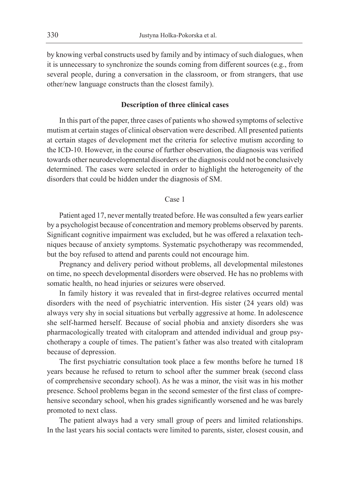by knowing verbal constructs used by family and by intimacy of such dialogues, when it is unnecessary to synchronize the sounds coming from different sources (e.g., from several people, during a conversation in the classroom, or from strangers, that use other/new language constructs than the closest family).

#### **Description of three clinical cases**

In this part of the paper, three cases of patients who showed symptoms of selective mutism at certain stages of clinical observation were described. All presented patients at certain stages of development met the criteria for selective mutism according to the ICD-10. However, in the course of further observation, the diagnosis was verified towards other neurodevelopmental disorders or the diagnosis could not be conclusively determined. The cases were selected in order to highlight the heterogeneity of the disorders that could be hidden under the diagnosis of SM.

#### Case 1

Patient aged 17, never mentally treated before. He was consulted a few years earlier by a psychologist because of concentration and memory problems observed by parents. Significant cognitive impairment was excluded, but he was offered a relaxation techniques because of anxiety symptoms. Systematic psychotherapy was recommended, but the boy refused to attend and parents could not encourage him.

Pregnancy and delivery period without problems, all developmental milestones on time, no speech developmental disorders were observed. He has no problems with somatic health, no head injuries or seizures were observed.

In family history it was revealed that in first-degree relatives occurred mental disorders with the need of psychiatric intervention. His sister (24 years old) was always very shy in social situations but verbally aggressive at home. In adolescence she self-harmed herself. Because of social phobia and anxiety disorders she was pharmacologically treated with citalopram and attended individual and group psychotherapy a couple of times. The patient's father was also treated with citalopram because of depression.

The first psychiatric consultation took place a few months before he turned 18 years because he refused to return to school after the summer break (second class of comprehensive secondary school). As he was a minor, the visit was in his mother presence. School problems began in the second semester of the first class of comprehensive secondary school, when his grades significantly worsened and he was barely promoted to next class.

The patient always had a very small group of peers and limited relationships. In the last years his social contacts were limited to parents, sister, closest cousin, and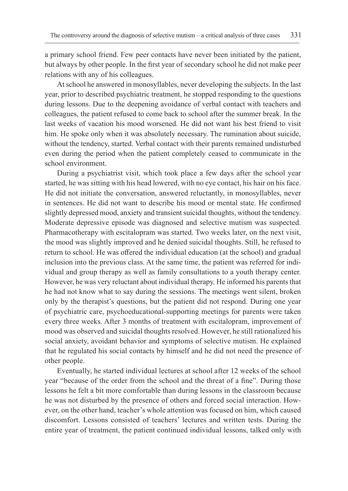a primary school friend. Few peer contacts have never been initiated by the patient, but always by other people. In the first year of secondary school he did not make peer relations with any of his colleagues.

At school he answered in monosyllables, never developing the subjects. In the last year, prior to described psychiatric treatment, he stopped responding to the questions during lessons. Due to the deepening avoidance of verbal contact with teachers and colleagues, the patient refused to come back to school after the summer break. In the last weeks of vacation his mood worsened. He did not want his best friend to visit him. He spoke only when it was absolutely necessary. The rumination about suicide, without the tendency, started. Verbal contact with their parents remained undisturbed even during the period when the patient completely ceased to communicate in the school environment.

During a psychiatrist visit, which took place a few days after the school year started, he was sitting with his head lowered, with no eye contact, his hair on his face. He did not initiate the conversation, answered reluctantly, in monosyllables, never in sentences. He did not want to describe his mood or mental state. He confirmed slightly depressed mood, anxiety and transient suicidal thoughts, without the tendency. Moderate depressive episode was diagnosed and selective mutism was suspected. Pharmacotherapy with escitalopram was started. Two weeks later, on the next visit, the mood was slightly improved and he denied suicidal thoughts. Still, he refused to return to school. He was offered the individual education (at the school) and gradual inclusion into the previous class. At the same time, the patient was referred for individual and group therapy as well as family consultations to a youth therapy center. However, he was very reluctant about individual therapy. He informed his parents that he had not know what to say during the sessions. The meetings went silent, broken only by the therapist's questions, but the patient did not respond. During one year of psychiatric care, psychoeducational-supporting meetings for parents were taken every three weeks. After 3 months of treatment with escitalopram, improvement of mood was observed and suicidal thoughts resolved. However, he still rationalized his social anxiety, avoidant behavior and symptoms of selective mutism. He explained that he regulated his social contacts by himself and he did not need the presence of other people.

Eventually, he started individual lectures at school after 12 weeks of the school year "because of the order from the school and the threat of a fine". During those lessons he felt a bit more comfortable than during lessons in the classroom because he was not disturbed by the presence of others and forced social interaction. However, on the other hand, teacher's whole attention was focused on him, which caused discomfort. Lessons consisted of teachers' lectures and written tests. During the entire year of treatment, the patient continued individual lessons, talked only with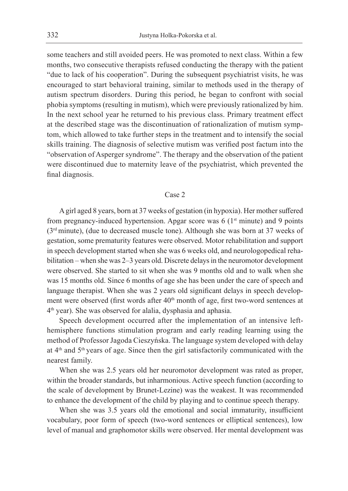some teachers and still avoided peers. He was promoted to next class. Within a few months, two consecutive therapists refused conducting the therapy with the patient "due to lack of his cooperation". During the subsequent psychiatrist visits, he was encouraged to start behavioral training, similar to methods used in the therapy of autism spectrum disorders. During this period, he began to confront with social phobia symptoms (resulting in mutism), which were previously rationalized by him. In the next school year he returned to his previous class. Primary treatment effect at the described stage was the discontinuation of rationalization of mutism symptom, which allowed to take further steps in the treatment and to intensify the social skills training. The diagnosis of selective mutism was verified post factum into the "observation of Asperger syndrome". The therapy and the observation of the patient were discontinued due to maternity leave of the psychiatrist, which prevented the final diagnosis.

# Case 2

A girl aged 8 years, born at 37 weeks of gestation (in hypoxia). Her mother suffered from pregnancy-induced hypertension. Apgar score was 6 (1<sup>st</sup> minute) and 9 points (3rd minute), (due to decreased muscle tone). Although she was born at 37 weeks of gestation, some prematurity features were observed. Motor rehabilitation and support in speech development started when she was 6 weeks old, and neurologopedical rehabilitation – when she was 2–3 years old. Discrete delays in the neuromotor development were observed. She started to sit when she was 9 months old and to walk when she was 15 months old. Since 6 months of age she has been under the care of speech and language therapist. When she was 2 years old significant delays in speech development were observed (first words after 40<sup>th</sup> month of age, first two-word sentences at 4th year). She was observed for alalia, dysphasia and aphasia.

Speech development occurred after the implementation of an intensive lefthemisphere functions stimulation program and early reading learning using the method of Professor Jagoda Cieszyńska. The language system developed with delay at 4th and 5th years of age. Since then the girl satisfactorily communicated with the nearest family.

When she was 2.5 years old her neuromotor development was rated as proper, within the broader standards, but inharmonious. Active speech function (according to the scale of development by Brunet-Lezine) was the weakest. It was recommended to enhance the development of the child by playing and to continue speech therapy.

When she was 3.5 years old the emotional and social immaturity, insufficient vocabulary, poor form of speech (two-word sentences or elliptical sentences), low level of manual and graphomotor skills were observed. Her mental development was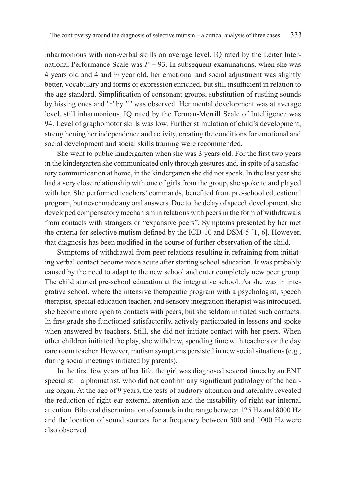inharmonious with non-verbal skills on average level. IQ rated by the Leiter International Performance Scale was  $P = 93$ . In subsequent examinations, when she was 4 years old and 4 and ½ year old, her emotional and social adjustment was slightly better, vocabulary and forms of expression enriched, but still insufficient in relation to the age standard. Simplification of consonant groups, substitution of rustling sounds by hissing ones and 'r' by 'l' was observed. Her mental development was at average level, still inharmonious. IQ rated by the Terman-Merrill Scale of Intelligence was 94. Level of graphomotor skills was low. Further stimulation of child's development, strengthening her independence and activity, creating the conditions for emotional and social development and social skills training were recommended.

She went to public kindergarten when she was 3 years old. For the first two years in the kindergarten she communicated only through gestures and, in spite of a satisfactory communication at home, in the kindergarten she did not speak. In the last year she had a very close relationship with one of girls from the group, she spoke to and played with her. She performed teachers' commands, benefited from pre-school educational program, but never made any oral answers. Due to the delay of speech development, she developed compensatory mechanism in relations with peers in the form of withdrawals from contacts with strangers or "expansive peers". Symptoms presented by her met the criteria for selective mutism defined by the ICD-10 and DSM-5 [1, 6]. However, that diagnosis has been modified in the course of further observation of the child.

Symptoms of withdrawal from peer relations resulting in refraining from initiating verbal contact become more acute after starting school education. It was probably caused by the need to adapt to the new school and enter completely new peer group. The child started pre-school education at the integrative school. As she was in integrative school, where the intensive therapeutic program with a psychologist, speech therapist, special education teacher, and sensory integration therapist was introduced, she become more open to contacts with peers, but she seldom initiated such contacts. In first grade she functioned satisfactorily, actively participated in lessons and spoke when answered by teachers. Still, she did not initiate contact with her peers. When other children initiated the play, she withdrew, spending time with teachers or the day care room teacher. However, mutism symptoms persisted in new social situations (e.g., during social meetings initiated by parents).

In the first few years of her life, the girl was diagnosed several times by an ENT specialist – a phoniatrist, who did not confirm any significant pathology of the hearing organ. At the age of 9 years, the tests of auditory attention and laterality revealed the reduction of right-ear external attention and the instability of right-ear internal attention. Bilateral discrimination of sounds in the range between 125 Hz and 8000 Hz and the location of sound sources for a frequency between 500 and 1000 Hz were also observed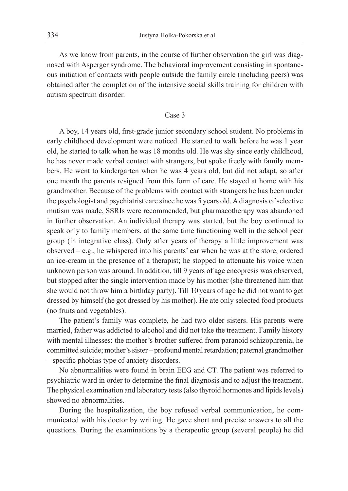As we know from parents, in the course of further observation the girl was diagnosed with Asperger syndrome. The behavioral improvement consisting in spontaneous initiation of contacts with people outside the family circle (including peers) was obtained after the completion of the intensive social skills training for children with autism spectrum disorder.

#### Case 3

A boy, 14 years old, first-grade junior secondary school student. No problems in early childhood development were noticed. He started to walk before he was 1 year old, he started to talk when he was 18 months old. He was shy since early childhood, he has never made verbal contact with strangers, but spoke freely with family members. He went to kindergarten when he was 4 years old, but did not adapt, so after one month the parents resigned from this form of care. He stayed at home with his grandmother. Because of the problems with contact with strangers he has been under the psychologist and psychiatrist care since he was 5 years old. A diagnosis of selective mutism was made, SSRIs were recommended, but pharmacotherapy was abandoned in further observation. An individual therapy was started, but the boy continued to speak only to family members, at the same time functioning well in the school peer group (in integrative class). Only after years of therapy a little improvement was observed – e.g., he whispered into his parents' ear when he was at the store, ordered an ice-cream in the presence of a therapist; he stopped to attenuate his voice when unknown person was around. In addition, till 9 years of age encopresis was observed, but stopped after the single intervention made by his mother (she threatened him that she would not throw him a birthday party). Till 10 years of age he did not want to get dressed by himself (he got dressed by his mother). He ate only selected food products (no fruits and vegetables).

The patient's family was complete, he had two older sisters. His parents were married, father was addicted to alcohol and did not take the treatment. Family history with mental illnesses: the mother's brother suffered from paranoid schizophrenia, he committed suicide; mother's sister – profound mental retardation; paternal grandmother – specific phobias type of anxiety disorders.

No abnormalities were found in brain EEG and CT. The patient was referred to psychiatric ward in order to determine the final diagnosis and to adjust the treatment. The physical examination and laboratory tests (also thyroid hormones and lipids levels) showed no abnormalities.

During the hospitalization, the boy refused verbal communication, he communicated with his doctor by writing. He gave short and precise answers to all the questions. During the examinations by a therapeutic group (several people) he did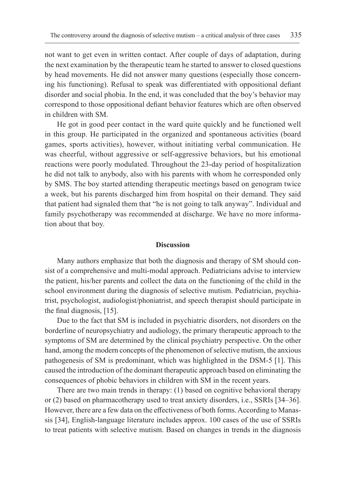not want to get even in written contact. After couple of days of adaptation, during the next examination by the therapeutic team he started to answer to closed questions by head movements. He did not answer many questions (especially those concerning his functioning). Refusal to speak was differentiated with oppositional defiant disorder and social phobia. In the end, it was concluded that the boy's behavior may correspond to those oppositional defiant behavior features which are often observed in children with SM.

He got in good peer contact in the ward quite quickly and he functioned well in this group. He participated in the organized and spontaneous activities (board games, sports activities), however, without initiating verbal communication. He was cheerful, without aggressive or self-aggressive behaviors, but his emotional reactions were poorly modulated. Throughout the 23-day period of hospitalization he did not talk to anybody, also with his parents with whom he corresponded only by SMS. The boy started attending therapeutic meetings based on genogram twice a week, but his parents discharged him from hospital on their demand. They said that patient had signaled them that "he is not going to talk anyway". Individual and family psychotherapy was recommended at discharge. We have no more information about that boy.

#### **Discussion**

Many authors emphasize that both the diagnosis and therapy of SM should consist of a comprehensive and multi-modal approach. Pediatricians advise to interview the patient, his/her parents and collect the data on the functioning of the child in the school environment during the diagnosis of selective mutism. Pediatrician, psychiatrist, psychologist, audiologist/phoniatrist, and speech therapist should participate in the final diagnosis, [15].

Due to the fact that SM is included in psychiatric disorders, not disorders on the borderline of neuropsychiatry and audiology, the primary therapeutic approach to the symptoms of SM are determined by the clinical psychiatry perspective. On the other hand, among the modern concepts of the phenomenon of selective mutism, the anxious pathogenesis of SM is predominant, which was highlighted in the DSM-5 [1]. This caused the introduction of the dominant therapeutic approach based on eliminating the consequences of phobic behaviors in children with SM in the recent years.

There are two main trends in therapy: (1) based on cognitive behavioral therapy or (2) based on pharmacotherapy used to treat anxiety disorders, i.e., SSRIs [34–36]. However, there are a few data on the effectiveness of both forms. According to Manassis [34], English-language literature includes approx. 100 cases of the use of SSRIs to treat patients with selective mutism. Based on changes in trends in the diagnosis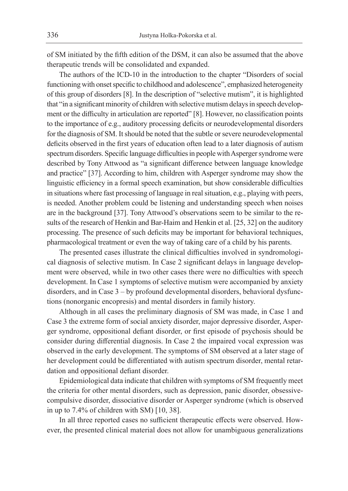of SM initiated by the fifth edition of the DSM, it can also be assumed that the above therapeutic trends will be consolidated and expanded.

The authors of the ICD-10 in the introduction to the chapter "Disorders of social functioning with onset specific to childhood and adolescence", emphasized heterogeneity of this group of disorders [8]. In the description of "selective mutism", it is highlighted that "in a significant minority of children with selective mutism delays in speech development or the difficulty in articulation are reported" [8]. However, no classification points to the importance of e.g., auditory processing deficits or neurodevelopmental disorders for the diagnosis of SM. It should be noted that the subtle or severe neurodevelopmental deficits observed in the first years of education often lead to a later diagnosis of autism spectrum disorders. Specific language difficulties in people with Asperger syndrome were described by Tony Attwood as "a significant difference between language knowledge and practice" [37]. According to him, children with Asperger syndrome may show the linguistic efficiency in a formal speech examination, but show considerable difficulties in situations where fast processing of language in real situation, e.g., playing with peers, is needed. Another problem could be listening and understanding speech when noises are in the background [37]. Tony Attwood's observations seem to be similar to the results of the research of Henkin and Bar-Haim and Henkin et al. [25, 32] on the auditory processing. The presence of such deficits may be important for behavioral techniques, pharmacological treatment or even the way of taking care of a child by his parents.

The presented cases illustrate the clinical difficulties involved in syndromological diagnosis of selective mutism. In Case 2 significant delays in language development were observed, while in two other cases there were no difficulties with speech development. In Case 1 symptoms of selective mutism were accompanied by anxiety disorders, and in Case 3 – by profound developmental disorders, behavioral dysfunctions (nonorganic encopresis) and mental disorders in family history.

Although in all cases the preliminary diagnosis of SM was made, in Case 1 and Case 3 the extreme form of social anxiety disorder, major depressive disorder, Asperger syndrome, oppositional defiant disorder, or first episode of psychosis should be consider during differential diagnosis. In Case 2 the impaired vocal expression was observed in the early development. The symptoms of SM observed at a later stage of her development could be differentiated with autism spectrum disorder, mental retardation and oppositional defiant disorder.

Epidemiological data indicate that children with symptoms of SM frequently meet the criteria for other mental disorders, such as depression, panic disorder, obsessivecompulsive disorder, dissociative disorder or Asperger syndrome (which is observed in up to 7.4% of children with SM) [10, 38].

In all three reported cases no sufficient therapeutic effects were observed. However, the presented clinical material does not allow for unambiguous generalizations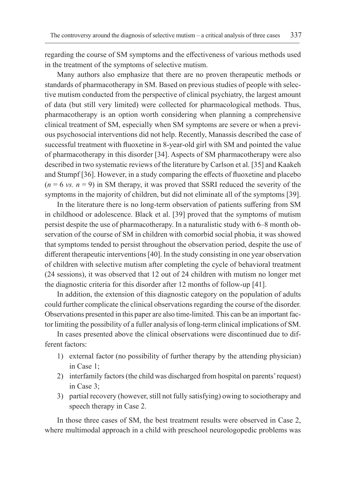regarding the course of SM symptoms and the effectiveness of various methods used in the treatment of the symptoms of selective mutism.

Many authors also emphasize that there are no proven therapeutic methods or standards of pharmacotherapy in SM. Based on previous studies of people with selective mutism conducted from the perspective of clinical psychiatry, the largest amount of data (but still very limited) were collected for pharmacological methods. Thus, pharmacotherapy is an option worth considering when planning a comprehensive clinical treatment of SM, especially when SM symptoms are severe or when a previous psychosocial interventions did not help. Recently, Manassis described the case of successful treatment with fluoxetine in 8-year-old girl with SM and pointed the value of pharmacotherapy in this disorder [34]. Aspects of SM pharmacotherapy were also described in two systematic reviews of the literature by Carlson et al. [35] and Kaakeh and Stumpf [36]. However, in a study comparing the effects of fluoxetine and placebo  $(n = 6 \text{ vs. } n = 9)$  in SM therapy, it was proved that SSRI reduced the severity of the symptoms in the majority of children, but did not eliminate all of the symptoms [39].

In the literature there is no long-term observation of patients suffering from SM in childhood or adolescence. Black et al. [39] proved that the symptoms of mutism persist despite the use of pharmacotherapy. In a naturalistic study with 6–8 month observation of the course of SM in children with comorbid social phobia, it was showed that symptoms tended to persist throughout the observation period, despite the use of different therapeutic interventions [40]. In the study consisting in one year observation of children with selective mutism after completing the cycle of behavioral treatment (24 sessions), it was observed that 12 out of 24 children with mutism no longer met the diagnostic criteria for this disorder after 12 months of follow-up [41].

In addition, the extension of this diagnostic category on the population of adults could further complicate the clinical observations regarding the course of the disorder. Observations presented in this paper are also time-limited. This can be an important factor limiting the possibility of a fuller analysis of long-term clinical implications of SM.

In cases presented above the clinical observations were discontinued due to different factors:

- 1) external factor (no possibility of further therapy by the attending physician) in Case 1;
- 2) interfamily factors (the child was discharged from hospital on parents' request) in Case 3;
- 3) partial recovery (however, still not fully satisfying) owing to sociotherapy and speech therapy in Case 2.

In those three cases of SM, the best treatment results were observed in Case 2, where multimodal approach in a child with preschool neurologopedic problems was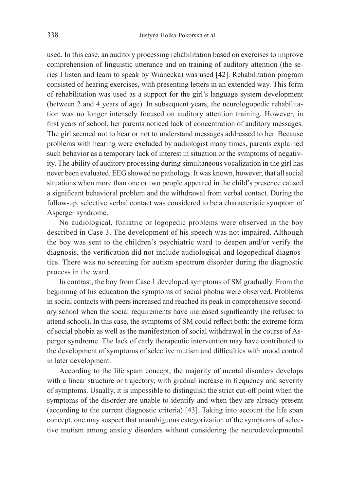used. In this case, an auditory processing rehabilitation based on exercises to improve comprehension of linguistic utterance and on training of auditory attention (the series I listen and learn to speak by Wianecka) was used [42]. Rehabilitation program consisted of hearing exercises, with presenting letters in an extended way. This form of rehabilitation was used as a support for the girl's language system development (between 2 and 4 years of age). In subsequent years, the neurologopedic rehabilitation was no longer intensely focused on auditory attention training. However, in first years of school, her parents noticed lack of concentration of auditory messages. The girl seemed not to hear or not to understand messages addressed to her. Because problems with hearing were excluded by audiologist many times, parents explained such behavior as a temporary lack of interest in situation or the symptoms of negativity. The ability of auditory processing during simultaneous vocalization in the girl has never been evaluated. EEG showed no pathology. It was known, however, that all social situations when more than one or two people appeared in the child's presence caused a significant behavioral problem and the withdrawal from verbal contact. During the follow-up, selective verbal contact was considered to be a characteristic symptom of Asperger syndrome.

No audiological, foniatric or logopedic problems were observed in the boy described in Case 3. The development of his speech was not impaired. Although the boy was sent to the children's psychiatric ward to deepen and/or verify the diagnosis, the verification did not include audiological and logopedical diagnostics. There was no screening for autism spectrum disorder during the diagnostic process in the ward.

In contrast, the boy from Case 1 developed symptoms of SM gradually. From the beginning of his education the symptoms of social phobia were observed. Problems in social contacts with peers increased and reached its peak in comprehensive secondary school when the social requirements have increased significantly (he refused to attend school). In this case, the symptoms of SM could reflect both: the extreme form of social phobia as well as the manifestation of social withdrawal in the course of Asperger syndrome. The lack of early therapeutic intervention may have contributed to the development of symptoms of selective mutism and difficulties with mood control in later development.

According to the life spam concept, the majority of mental disorders develops with a linear structure or trajectory, with gradual increase in frequency and severity of symptoms. Usually, it is impossible to distinguish the strict cut-off point when the symptoms of the disorder are unable to identify and when they are already present (according to the current diagnostic criteria) [43]. Taking into account the life span concept, one may suspect that unambiguous categorization of the symptoms of selective mutism among anxiety disorders without considering the neurodevelopmental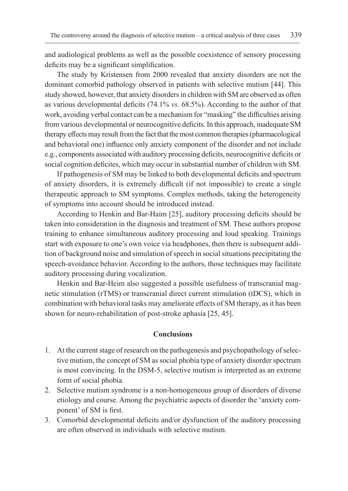and audiological problems as well as the possible coexistence of sensory processing deficits may be a significant simplification.

The study by Kristensen from 2000 revealed that anxiety disorders are not the dominant comorbid pathology observed in patients with selective mutism [44]. This study showed, however, that anxiety disorders in children with SM are observed as often as various developmental deficits (74.1% *vs.* 68.5%). According to the author of that work, avoiding verbal contact can be a mechanism for "masking" the difficulties arising from various developmental or neurocognitive deficits. In this approach, inadequate SM therapy effects may result from the fact that the most common therapies (pharmacological and behavioral one) influence only anxiety component of the disorder and not include e.g., components associated with auditory processing deficits, neurocognitive deficits or social cognition deficites, which may occur in substantial number of children with SM.

If pathogenesis of SM may be linked to both developmental deficits and spectrum of anxiety disorders, it is extremely difficult (if not impossible) to create a single therapeutic approach to SM symptoms. Complex methods, taking the heterogeneity of symptoms into account should be introduced instead.

According to Henkin and Bar-Haim [25], auditory processing deficits should be taken into consideration in the diagnosis and treatment of SM. These authors propose training to enhance simultaneous auditory processing and loud speaking. Trainings start with exposure to one's own voice via headphones, then there is subsequent addition of background noise and simulation of speech in social situations precipitating the speech-avoidance behavior. According to the authors, those techniques may facilitate auditory processing during vocalization.

Henkin and Bar-Heim also suggested a possible usefulness of transcranial magnetic stimulation (rTMS) or transcranial direct current stimulation (tDCS), which in combination with behavioral tasks may ameliorate effects of SM therapy, as it has been shown for neuro-rehabilitation of post-stroke aphasia [25, 45].

# **Conclusions**

- 1. At the current stage of research on the pathogenesis and psychopathology of selective mutism, the concept of SM as social phobia type of anxiety disorder spectrum is most convincing. In the DSM-5, selective mutism is interpreted as an extreme form of social phobia.
- 2. Selective mutism syndrome is a non-homogeneous group of disorders of diverse etiology and course. Among the psychiatric aspects of disorder the 'anxiety component' of SM is first.
- 3. Comorbid developmental deficits and/or dysfunction of the auditory processing are often observed in individuals with selective mutism.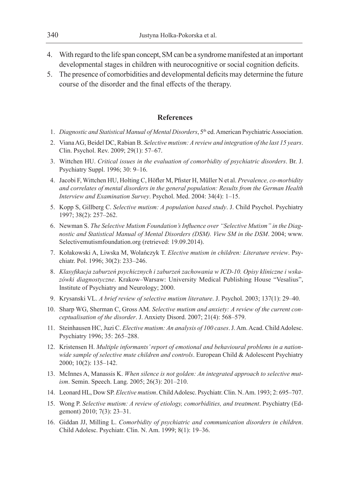- 4. With regard to the life span concept, SM can be a syndrome manifested at an important developmental stages in children with neurocognitive or social cognition deficits.
- 5. The presence of comorbidities and developmental deficits may determine the future course of the disorder and the final effects of the therapy.

## **References**

- 1. *Diagnostic and Statistical Manual of Mental Disorders*, 5<sup>th</sup> ed. American Psychiatric Association.
- 2. Viana AG, Beidel DC, Rabian B. *Selective mutism: A review and integration of the last 15 years*. Clin. Psychol. Rev. 2009; 29(1): 57–67.
- 3. Wittchen HU. *Critical issues in the evaluation of comorbidity of psychiatric disorders*. Br. J. Psychiatry Suppl. 1996; 30: 9–16.
- 4. Jacobi F, Wittchen HU, Holting C, Höfler M, Pfister H, Müller N et al. *Prevalence, co-morbidity and correlates of mental disorders in the general population: Results from the German Health Interview and Examination Survey*. Psychol. Med. 2004: 34(4): 1–15.
- 5. Kopp S, Gillberg C. *Selective mutism: A population based study*. J. Child Psychol. Psychiatry 1997; 38(2): 257–262.
- 6. Newman S. *The Selective Mutism Foundation's Influence over "Selective Mutism" in the Diagnostic and Statistical Manual of Mental Disorders (DSM). View SM in the DSM*. 2004; www. Selectivemutismfoundation.org (retrieved: 19.09.2014).
- 7. Kołakowski A, Liwska M, Wolańczyk T. *Elective mutism in children: Literature review*. Psychiatr. Pol. 1996; 30(2): 233–246.
- 8. *Klasyfikacja zaburzeń psychicznych i zaburzeń zachowania w ICD-10. Opisy kliniczne i wskazówki diagnostyczne*. Krakow–Warsaw: University Medical Publishing House "Vesalius", Institute of Psychiatry and Neurology; 2000.
- 9. Krysanski VL. *A brief review of selective mutism literature*. J. Psychol. 2003; 137(1): 29–40.
- 10. Sharp WG, Sherman C, Gross AM. *Selective mutism and anxiety: A review of the current conceptualisation of the disorder*. J. Anxiety Disord. 2007; 21(4): 568–579.
- 11. Steinhausen HC, Juzi C. *Elective mutism: An analysis of 100 cases*. J. Am. Acad. Child Adolesc. Psychiatry 1996; 35: 265–288.
- 12. Kristensen H. *Multiple informants' report of emotional and behavioural problems in a nationwide sample of selective mute children and controls*. European Child & Adolescent Psychiatry 2000; 10(2): 135–142.
- 13. McInnes A, Manassis K. *When silence is not golden: An integrated approach to selective mutism*. Semin. Speech. Lang. 2005; 26(3): 201–210.
- 14. Leonard HL, Dow SP. *Elective mutism*. Child Adolesc. Psychiatr. Clin. N. Am. 1993; 2: 695–707.
- 15. Wong P. *Selective mutism: A review of etiology, comorbidities, and treatment*. Psychiatry (Edgemont) 2010; 7(3): 23–31.
- 16. Giddan JJ, Milling L. *Comorbidity of psychiatric and communication disorders in children*. Child Adolesc. Psychiatr. Clin. N. Am. 1999; 8(1): 19–36.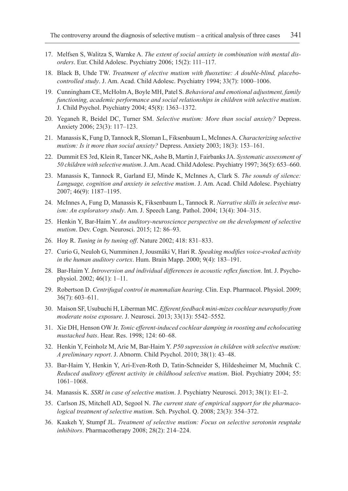- 17. Melfsen S, Walitza S, Warnke A. *The extent of social anxiety in combination with mental disorders*. Eur. Child Adolesc. Psychiatry 2006; 15(2): 111–117.
- 18. Black B, Uhde TW. *Treatment of elective mutism with fluoxetine: A double-blind, placebocontrolled study*. J. Am. Acad. Child Adolesc. Psychiatry 1994; 33(7): 1000–1006.
- 19. Cunningham CE, McHolm A, Boyle MH, Patel S. *Behavioral and emotional adjustment, family functioning, academic performance and social relationships in children with selective mutism*. J. Child Psychol. Psychiatry 2004; 45(8): 1363–1372.
- 20. Yeganeh R, Beidel DC, Turner SM. *Selective mutism: More than social anxiety?* Depress. Anxiety 2006; 23(3): 117–123.
- 21. Manassis K, Fung D, Tannock R, Sloman L, Fiksenbaum L, McInnes A. *Characterizing selective mutism: Is it more than social anxiety?* Depress. Anxiety 2003; 18(3): 153–161.
- 22. Dummit ES 3rd, Klein R, Tancer NK, Ashe B, Martin J, Fairbanks JA. *Systematic assessment of 50 children with selective mutism*. J. Am. Acad. Child Adolesc. Psychiatry 1997; 36(5): 653–660.
- 23. Manassis K, Tannock R, Garland EJ, Minde K, McInnes A, Clark S. *The sounds of silence: Language, cognition and anxiety in selective mutism*. J. Am. Acad. Child Adolesc. Psychiatry 2007; 46(9): 1187–1195.
- 24. McInnes A, Fung D, Manassis K, Fiksenbaum L, Tannock R. *Narrative skills in selective mutism: An exploratory study*. Am. J. Speech Lang. Pathol. 2004; 13(4): 304–315.
- 25. Henkin Y, Bar-Haim Y. *An auditory-neuroscience perspective on the development of selective mutism*. Dev. Cogn. Neurosci. 2015; 12: 86–93.
- 26. Hoy R. *Tuning in by tuning off*. Nature 2002; 418: 831–833.
- 27. Curio G, Neuloh G, Numminen J, Jousmäki V, Hari R. *Speaking modifies voice-evoked activity in the human auditory cortex*. Hum. Brain Mapp. 2000; 9(4): 183–191.
- 28. Bar-Haim Y. *Introversion and individual differences in acoustic reflex function*. Int. J. Psychophysiol. 2002; 46(1): 1–11.
- 29. Robertson D. *Centrifugal control in mammalian hearing*. Clin. Exp. Pharmacol. Physiol. 2009; 36(7): 603–611.
- 30. Maison SF, Usubuchi H, Liberman MC. *Efferent feedback mini-mizes cochlear neuropathy from moderate noise exposure*. J. Neurosci. 2013; 33(13): 5542–5552.
- 31. Xie DH, Henson OW Jr. *Tonic efferent-induced cochlear damping in roosting and echolocating mustached bats*. Hear. Res. 1998; 124: 60–68.
- 32. Henkin Y, Feinholz M, Arie M, Bar-Haim Y. *P50 supression in children with selective mutism: A preliminary report*. J. Abnorm. Child Psychol. 2010; 38(1): 43–48.
- 33. Bar-Haim Y, Henkin Y, Ari-Even-Roth D, Tatin-Schneider S, Hildesheimer M, Muchnik C. *Reduced auditory efferent activity in childhood selective mutism*. Biol. Psychiatry 2004; 55: 1061–1068.
- 34. Manassis K. *SSRI in case of selective mutism*. J. Psychiatry Neurosci. 2013; 38(1): E1–2.
- 35. Carlson JS, Mitchell AD, Segool N. *The current state of empirical support for the pharmacological treatment of selective mutism*. Sch. Psychol. Q. 2008; 23(3): 354–372.
- 36. Kaakeh Y, Stumpf JL. *Treatment of selective mutism: Focus on selective serotonin reuptake inhibitors*. Pharmacotherapy 2008; 28(2): 214–224.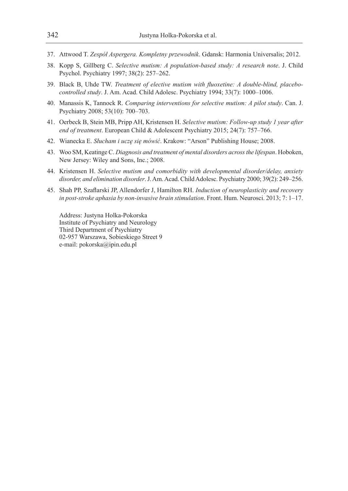- 37. Attwood T. *Zespół Aspergera. Kompletny przewodnik*. Gdansk: Harmonia Universalis; 2012.
- 38. Kopp S, Gillberg C. *Selective mutism: A population-based study: A research note*. J. Child Psychol. Psychiatry 1997; 38(2): 257–262.
- 39. Black B, Uhde TW. *Treatment of elective mutism with fluoxetine: A double-blind, placebocontrolled study*. J. Am. Acad. Child Adolesc. Psychiatry 1994; 33(7): 1000–1006.
- 40. Manassis K, Tannock R. *Comparing interventions for selective mutism: A pilot study*. Can. J. Psychiatry 2008; 53(10): 700–703.
- 41. Oerbeck B, Stein MB, Pripp AH, Kristensen H. *Selective mutism: Follow-up study 1 year after end of treatment*. European Child & Adolescent Psychiatry 2015; 24(7): 757–766.
- 42. Wianecka E. *Słucham i uczę się mówić*. Krakow: "Arson" Publishing House; 2008.
- 43. Woo SM, Keatinge C. *Diagnosis and treatment of mental disorders across the lifespan*. Hoboken, New Jersey: Wiley and Sons, Inc.; 2008.
- 44. Kristensen H. *Selective mutism and comorbidity with developmental disorder/delay, anxiety disorder, and elimination disorder*. J. Am. Acad. Child Adolesc. Psychiatry 2000; 39(2): 249–256.
- 45. Shah PP, Szaflarski JP, Allendorfer J, Hamilton RH. *Induction of neuroplasticity and recovery in post-stroke aphasia by non-invasive brain stimulation*. Front. Hum. Neurosci. 2013; 7: 1–17.

Address: Justyna Holka-Pokorska Institute of Psychiatry and Neurology Third Department of Psychiatry 02-957 Warszawa, Sobieskiego Street 9 e-mail: pokorska@ipin.edu.pl